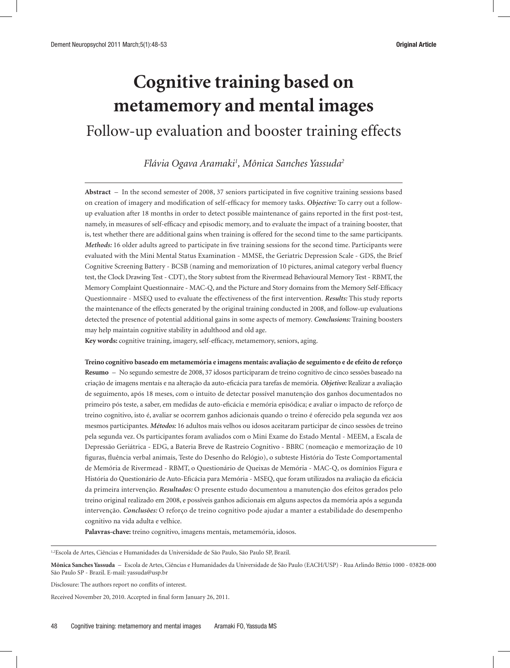# **Cognitive training based on metamemory and mental images**

# Follow-up evaluation and booster training effects

*Flávia Ogava Aramaki1 , Mônica Sanches Yassuda2*

**Abstract** – In the second semester of 2008, 37 seniors participated in five cognitive training sessions based on creation of imagery and modification of self-efficacy for memory tasks. *Objective:* To carry out a followup evaluation after 18 months in order to detect possible maintenance of gains reported in the first post-test, namely, in measures of self-efficacy and episodic memory, and to evaluate the impact of a training booster, that is, test whether there are additional gains when training is offered for the second time to the same participants. *Methods:* 16 older adults agreed to participate in five training sessions for the second time. Participants were evaluated with the Mini Mental Status Examination - MMSE, the Geriatric Depression Scale - GDS, the Brief Cognitive Screening Battery - BCSB (naming and memorization of 10 pictures, animal category verbal fluency test, the Clock Drawing Test - CDT), the Story subtest from the Rivermead Behavioural Memory Test - RBMT, the Memory Complaint Questionnaire - MAC-Q, and the Picture and Story domains from the Memory Self-Efficacy Questionnaire - MSEQ used to evaluate the effectiveness of the first intervention. *Results:* This study reports the maintenance of the effects generated by the original training conducted in 2008, and follow-up evaluations detected the presence of potential additional gains in some aspects of memory. *Conclusions:* Training boosters may help maintain cognitive stability in adulthood and old age.

**Key words:** cognitive training, imagery, self-efficacy, metamemory, seniors, aging.

**Treino cognitivo baseado em metamemória e imagens mentais: avaliação de seguimento e de efeito de reforço Resumo** – No segundo semestre de 2008, 37 idosos participaram de treino cognitivo de cinco sessões baseado na criação de imagens mentais e na alteração da auto-eficácia para tarefas de memória. *Objetivo:* Realizar a avaliação de seguimento, após 18 meses, com o intuito de detectar possível manutenção dos ganhos documentados no primeiro pós teste, a saber, em medidas de auto-eficácia e memória episódica; e avaliar o impacto de reforço de treino cognitivo, isto é, avaliar se ocorrem ganhos adicionais quando o treino é oferecido pela segunda vez aos mesmos participantes. *Métodos:* 16 adultos mais velhos ou idosos aceitaram participar de cinco sessões de treino pela segunda vez. Os participantes foram avaliados com o Mini Exame do Estado Mental - MEEM, a Escala de Depressão Geriátrica - EDG, a Bateria Breve de Rastreio Cognitivo - BBRC (nomeação e memorização de 10 figuras, fluência verbal animais, Teste do Desenho do Relógio), o subteste História do Teste Comportamental de Memória de Rivermead - RBMT, o Questionário de Queixas de Memória - MAC-Q, os domínios Figura e História do Questionário de Auto-Eficácia para Memória - MSEQ, que foram utilizados na avaliação da eficácia da primeira intervenção. *Resultados:* O presente estudo documentou a manutenção dos efeitos gerados pelo treino original realizado em 2008, e possíveis ganhos adicionais em alguns aspectos da memória após a segunda intervenção. *Conclusões:* O reforço de treino cognitivo pode ajudar a manter a estabilidade do desempenho cognitivo na vida adulta e velhice.

**Palavras-chave:** treino cognitivo, imagens mentais, metamemória, idosos.

1,2Escola de Artes, Ciências e Humanidades da Universidade de São Paulo, São Paulo SP, Brazil.

Disclosure: The authors report no conflits of interest.

Received November 20, 2010. Accepted in final form January 26, 2011.

**Mônica Sanches Yassuda** – Escola de Artes, Ciências e Humanidades da Universidade de São Paulo (EACH/USP) - Rua Arlindo Béttio 1000 - 03828-000 São Paulo SP - Brazil. E-mail: yassuda@usp.br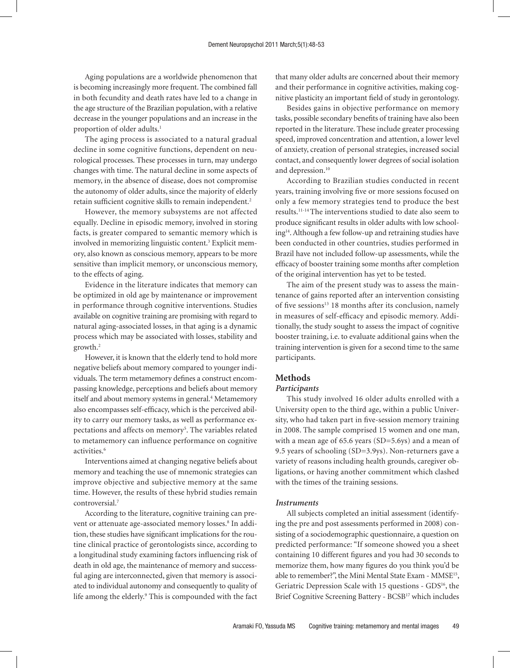Aging populations are a worldwide phenomenon that is becoming increasingly more frequent. The combined fall in both fecundity and death rates have led to a change in the age structure of the Brazilian population, with a relative decrease in the younger populations and an increase in the proportion of older adults.<sup>1</sup>

The aging process is associated to a natural gradual decline in some cognitive functions, dependent on neurological processes. These processes in turn, may undergo changes with time. The natural decline in some aspects of memory, in the absence of disease, does not compromise the autonomy of older adults, since the majority of elderly retain sufficient cognitive skills to remain independent.2

However, the memory subsystems are not affected equally. Decline in episodic memory, involved in storing facts, is greater compared to semantic memory which is involved in memorizing linguistic content.<sup>3</sup> Explicit memory, also known as conscious memory, appears to be more sensitive than implicit memory, or unconscious memory, to the effects of aging.

Evidence in the literature indicates that memory can be optimized in old age by maintenance or improvement in performance through cognitive interventions. Studies available on cognitive training are promising with regard to natural aging-associated losses, in that aging is a dynamic process which may be associated with losses, stability and growth.2

However, it is known that the elderly tend to hold more negative beliefs about memory compared to younger individuals. The term metamemory defines a construct encompassing knowledge, perceptions and beliefs about memory itself and about memory systems in general.<sup>4</sup> Metamemory also encompasses self-efficacy, which is the perceived ability to carry our memory tasks, as well as performance expectations and affects on memory<sup>5</sup>. The variables related to metamemory can influence performance on cognitive activities.6

Interventions aimed at changing negative beliefs about memory and teaching the use of mnemonic strategies can improve objective and subjective memory at the same time. However, the results of these hybrid studies remain controversial.7

According to the literature, cognitive training can prevent or attenuate age-associated memory losses.<sup>8</sup> In addition, these studies have significant implications for the routine clinical practice of gerontologists since, according to a longitudinal study examining factors influencing risk of death in old age, the maintenance of memory and successful aging are interconnected, given that memory is associated to individual autonomy and consequently to quality of life among the elderly.<sup>9</sup> This is compounded with the fact that many older adults are concerned about their memory and their performance in cognitive activities, making cognitive plasticity an important field of study in gerontology.

Besides gains in objective performance on memory tasks, possible secondary benefits of training have also been reported in the literature. These include greater processing speed, improved concentration and attention, a lower level of anxiety, creation of personal strategies, increased social contact, and consequently lower degrees of social isolation and depression.<sup>10</sup>

According to Brazilian studies conducted in recent years, training involving five or more sessions focused on only a few memory strategies tend to produce the best results.11-14 The interventions studied to date also seem to produce significant results in older adults with low schooling14. Although a few follow-up and retraining studies have been conducted in other countries, studies performed in Brazil have not included follow-up assessments, while the efficacy of booster training some months after completion of the original intervention has yet to be tested.

The aim of the present study was to assess the maintenance of gains reported after an intervention consisting of five sessions<sup>13</sup> 18 months after its conclusion, namely in measures of self-efficacy and episodic memory. Additionally, the study sought to assess the impact of cognitive booster training, i.e. to evaluate additional gains when the training intervention is given for a second time to the same participants.

# **Methods**

### *Participants*

This study involved 16 older adults enrolled with a University open to the third age, within a public University, who had taken part in five-session memory training in 2008. The sample comprised 15 women and one man, with a mean age of 65.6 years (SD=5.6ys) and a mean of 9.5 years of schooling (SD=3.9ys). Non-returners gave a variety of reasons including health grounds, caregiver obligations, or having another commitment which clashed with the times of the training sessions.

#### *Instruments*

All subjects completed an initial assessment (identifying the pre and post assessments performed in 2008) consisting of a sociodemographic questionnaire, a question on predicted performance: "If someone showed you a sheet containing 10 different figures and you had 30 seconds to memorize them, how many figures do you think you'd be able to remember?", the Mini Mental State Exam - MMSE15, Geriatric Depression Scale with 15 questions - GDS<sup>16</sup>, the Brief Cognitive Screening Battery - BCSB17 which includes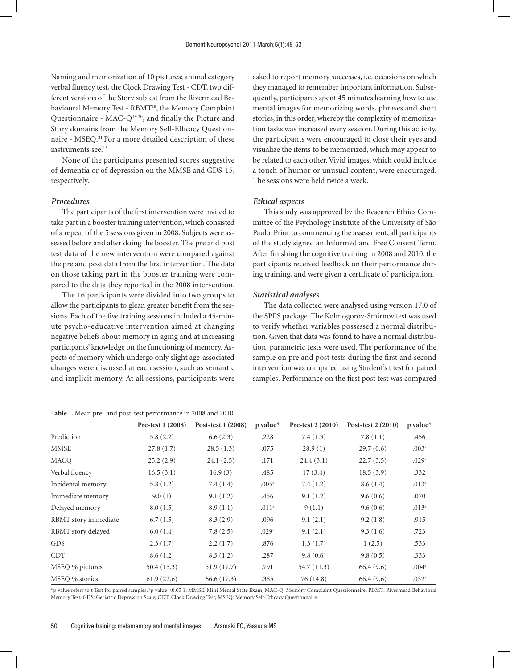Naming and memorization of 10 pictures; animal category verbal fluency test, the Clock Drawing Test - CDT, two different versions of the Story subtest from the Rivermead Behavioural Memory Test - RBMT<sup>18</sup>, the Memory Complaint Questionnaire - MAC-Q19,20, and finally the Picture and Story domains from the Memory Self-Efficacy Questionnaire - MSEQ.<sup>21</sup> For a more detailed description of these instruments see.<sup>13</sup>

None of the participants presented scores suggestive of dementia or of depression on the MMSE and GDS-15, respectively.

#### *Procedures*

The participants of the first intervention were invited to take part in a booster training intervention, which consisted of a repeat of the 5 sessions given in 2008. Subjects were assessed before and after doing the booster. The pre and post test data of the new intervention were compared against the pre and post data from the first intervention. The data on those taking part in the booster training were compared to the data they reported in the 2008 intervention.

The 16 participants were divided into two groups to allow the participants to glean greater benefit from the sessions. Each of the five training sessions included a 45-minute psycho-educative intervention aimed at changing negative beliefs about memory in aging and at increasing participants' knowledge on the functioning of memory. Aspects of memory which undergo only slight age-associated changes were discussed at each session, such as semantic and implicit memory. At all sessions, participants were

| <b>Table 1.</b> Mean pre- and post-test performance in 2008 and 2010. |
|-----------------------------------------------------------------------|
|-----------------------------------------------------------------------|

asked to report memory successes, i.e. occasions on which they managed to remember important information. Subsequently, participants spent 45 minutes learning how to use mental images for memorizing words, phrases and short stories, in this order, whereby the complexity of memorization tasks was increased every session. During this activity, the participants were encouraged to close their eyes and visualize the items to be memorized, which may appear to be related to each other. Vivid images, which could include a touch of humor or unusual content, were encouraged. The sessions were held twice a week.

#### *Ethical aspects*

This study was approved by the Research Ethics Committee of the Psychology Institute of the University of São Paulo. Prior to commencing the assessment, all participants of the study signed an Informed and Free Consent Term. After finishing the cognitive training in 2008 and 2010, the participants received feedback on their performance during training, and were given a certificate of participation.

#### *Statistical analyses*

The data collected were analysed using version 17.0 of the SPPS package. The Kolmogorov-Smirnov test was used to verify whether variables possessed a normal distribution. Given that data was found to have a normal distribution, parametric tests were used. The performance of the sample on pre and post tests during the first and second intervention was compared using Student's t test for paired samples. Performance on the first post test was compared

|                      | Pre-test 1 (2008) | Post-test 1 (2008) | $p$ value*        | Pre-test 2 (2010) | Post-test 2 (2010) | $p$ value*        |
|----------------------|-------------------|--------------------|-------------------|-------------------|--------------------|-------------------|
| Prediction           | 5.8(2.2)          | 6.6(2.3)           | .228              | 7.4(1.3)          | 7.8(1.1)           | .456              |
| <b>MMSE</b>          | 27.8(1.7)         | 28.5(1.3)          | .075              | 28.9(1)           | 29.7(0.6)          | .003 <sup>a</sup> |
| MACO                 | 25.2(2.9)         | 24.1(2.5)          | .171              | 24.4(3.1)         | 22.7(3.5)          | .029a             |
| Verbal fluency       | 16.5(3.1)         | 16.9(3)            | .485              | 17(3.4)           | 18.5(3.9)          | .332              |
| Incidental memory    | 5.8(1.2)          | 7.4(1.4)           | .005 <sup>a</sup> | 7.4(1.2)          | 8.6(1.4)           | .013 <sup>a</sup> |
| Immediate memory     | 9.0(1)            | 9.1(1.2)           | .456              | 9.1(1.2)          | 9.6(0.6)           | .070              |
| Delayed memory       | 8.0(1.5)          | 8.9(1.1)           | .011 <sup>a</sup> | 9(1.1)            | 9.6(0.6)           | .013 <sup>a</sup> |
| RBMT story immediate | 6.7(1.5)          | 8.3(2.9)           | .096              | 9.1(2.1)          | 9.2(1.8)           | .915              |
| RBMT story delayed   | 6.0(1.4)          | 7.8(2.5)           | .029a             | 9.1(2.1)          | 9.3(1.6)           | .723              |
| <b>GDS</b>           | 2.3(1.7)          | 2.2(1.7)           | .876              | 1.3(1.7)          | 1(2.5)             | .533              |
| <b>CDT</b>           | 8.6(1.2)          | 8.3(1.2)           | .287              | 9.8(0.6)          | 9.8(0.5)           | .333              |
| MSEQ % pictures      | 50.4(15.3)        | 51.9 (17.7)        | .791              | 54.7 (11.3)       | 66.4(9.6)          | .004 <sup>a</sup> |
| MSEQ % stories       | 61.9(22.6)        | 66.6 (17.3)        | .385              | 76 (14.8)         | 66.4(9.6)          | .032 <sup>a</sup> |

\*p value refers to t Test for paired samples. ªp value <0.05 1; MMSE: Mini Mental State Exam, MAC-Q: Memory Complaint Questionnaire; RBMT: Rivermead Behavioral Memory Test; GDS: Geriatric Depression Scale; CDT: Clock Drawing Test; MSEQ: Memory Self-Efficacy Questionnaire.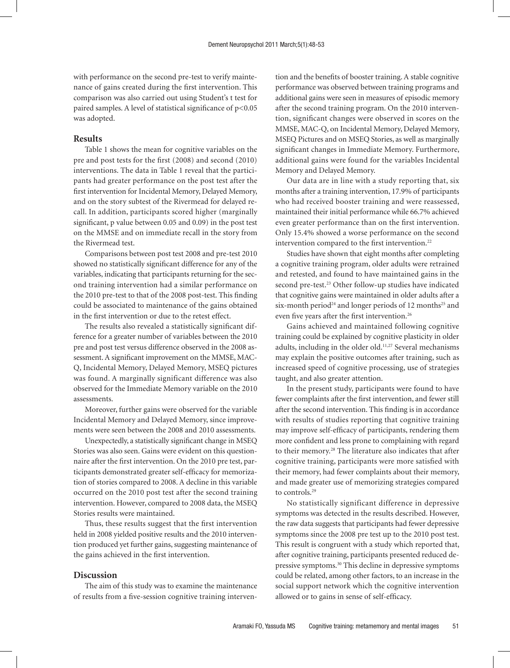with performance on the second pre-test to verify maintenance of gains created during the first intervention. This comparison was also carried out using Student's t test for paired samples. A level of statistical significance of p<0.05 was adopted.

#### **Results**

Table 1 shows the mean for cognitive variables on the pre and post tests for the first (2008) and second (2010) interventions. The data in Table 1 reveal that the participants had greater performance on the post test after the first intervention for Incidental Memory, Delayed Memory, and on the story subtest of the Rivermead for delayed recall. In addition, participants scored higher (marginally significant, p value between 0.05 and 0.09) in the post test on the MMSE and on immediate recall in the story from the Rivermead test.

Comparisons between post test 2008 and pre-test 2010 showed no statistically significant difference for any of the variables, indicating that participants returning for the second training intervention had a similar performance on the 2010 pre-test to that of the 2008 post-test. This finding could be associated to maintenance of the gains obtained in the first intervention or due to the retest effect.

The results also revealed a statistically significant difference for a greater number of variables between the 2010 pre and post test versus difference observed in the 2008 assessment. A significant improvement on the MMSE, MAC-Q, Incidental Memory, Delayed Memory, MSEQ pictures was found. A marginally significant difference was also observed for the Immediate Memory variable on the 2010 assessments.

Moreover, further gains were observed for the variable Incidental Memory and Delayed Memory, since improvements were seen between the 2008 and 2010 assessments.

Unexpectedly, a statistically significant change in MSEQ Stories was also seen. Gains were evident on this questionnaire after the first intervention. On the 2010 pre test, participants demonstrated greater self-efficacy for memorization of stories compared to 2008. A decline in this variable occurred on the 2010 post test after the second training intervention. However, compared to 2008 data, the MSEQ Stories results were maintained.

Thus, these results suggest that the first intervention held in 2008 yielded positive results and the 2010 intervention produced yet further gains, suggesting maintenance of the gains achieved in the first intervention.

## **Discussion**

The aim of this study was to examine the maintenance of results from a five-session cognitive training intervention and the benefits of booster training. A stable cognitive performance was observed between training programs and additional gains were seen in measures of episodic memory after the second training program. On the 2010 intervention, significant changes were observed in scores on the MMSE, MAC-Q, on Incidental Memory, Delayed Memory, MSEQ Pictures and on MSEQ Stories, as well as marginally significant changes in Immediate Memory. Furthermore, additional gains were found for the variables Incidental Memory and Delayed Memory.

Our data are in line with a study reporting that, six months after a training intervention, 17.9% of participants who had received booster training and were reassessed, maintained their initial performance while 66.7% achieved even greater performance than on the first intervention. Only 15.4% showed a worse performance on the second intervention compared to the first intervention.<sup>22</sup>

Studies have shown that eight months after completing a cognitive training program, older adults were retrained and retested, and found to have maintained gains in the second pre-test.<sup>23</sup> Other follow-up studies have indicated that cognitive gains were maintained in older adults after a six-month period<sup>24</sup> and longer periods of 12 months<sup>25</sup> and even five years after the first intervention.<sup>26</sup>

Gains achieved and maintained following cognitive training could be explained by cognitive plasticity in older adults, including in the older old.<sup>11,27</sup> Several mechanisms may explain the positive outcomes after training, such as increased speed of cognitive processing, use of strategies taught, and also greater attention.

In the present study, participants were found to have fewer complaints after the first intervention, and fewer still after the second intervention. This finding is in accordance with results of studies reporting that cognitive training may improve self-efficacy of participants, rendering them more confident and less prone to complaining with regard to their memory.28 The literature also indicates that after cognitive training, participants were more satisfied with their memory, had fewer complaints about their memory, and made greater use of memorizing strategies compared to controls.29

No statistically significant difference in depressive symptoms was detected in the results described. However, the raw data suggests that participants had fewer depressive symptoms since the 2008 pre test up to the 2010 post test. This result is congruent with a study which reported that, after cognitive training, participants presented reduced depressive symptoms.30 This decline in depressive symptoms could be related, among other factors, to an increase in the social support network which the cognitive intervention allowed or to gains in sense of self-efficacy.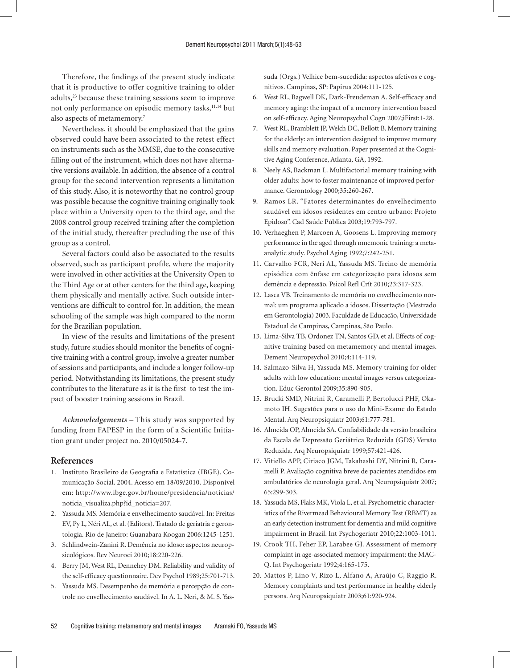Therefore, the findings of the present study indicate that it is productive to offer cognitive training to older adults,<sup>23</sup> because these training sessions seem to improve not only performance on episodic memory tasks,<sup>11,14</sup> but also aspects of metamemory.7

Nevertheless, it should be emphasized that the gains observed could have been associated to the retest effect on instruments such as the MMSE, due to the consecutive filling out of the instrument, which does not have alternative versions available. In addition, the absence of a control group for the second intervention represents a limitation of this study. Also, it is noteworthy that no control group was possible because the cognitive training originally took place within a University open to the third age, and the 2008 control group received training after the completion of the initial study, thereafter precluding the use of this group as a control.

Several factors could also be associated to the results observed, such as participant profile, where the majority were involved in other activities at the University Open to the Third Age or at other centers for the third age, keeping them physically and mentally active. Such outside interventions are difficult to control for. In addition, the mean schooling of the sample was high compared to the norm for the Brazilian population.

In view of the results and limitations of the present study, future studies should monitor the benefits of cognitive training with a control group, involve a greater number of sessions and participants, and include a longer follow-up period. Notwithstanding its limitations, the present study contributes to the literature as it is the first to test the impact of booster training sessions in Brazil.

*Acknowledgements –* This study was supported by funding from FAPESP in the form of a Scientific Initiation grant under project no. 2010/05024-7.

#### **References**

- 1. Instituto Brasileiro de Geografia e Estatística (IBGE). Comunicação Social. 2004. Acesso em 18/09/2010. Disponível em: http://www.ibge.gov.br/home/presidencia/noticias/ noticia\_visualiza.php?id\_noticia=207.
- 2. Yassuda MS. Memória e envelhecimento saudável. In: Freitas EV, Py L, Néri AL, et al. (Editors). Tratado de geriatria e gerontologia. Rio de Janeiro: Guanabara Koogan 2006:1245-1251.
- 3. Schlindwein-Zanini R. Demência no idoso: aspectos neuropsicológicos. Rev Neuroci 2010;18:220-226.
- 4. Berry JM, West RL, Dennehey DM. Reliability and validity of the self-efficacy questionnaire. Dev Psychol 1989;25:701-713.
- 5. Yassuda MS. Desempenho de memória e percepção de controle no envelhecimento saudável. In A. L. Neri, & M. S. Yas-

suda (Orgs.) Velhice bem-sucedida: aspectos afetivos e cognitivos. Campinas, SP: Papirus 2004:111-125.

- 6. West RL, Bagwell DK, Dark-Freudeman A. Self-efficacy and memory aging: the impact of a memory intervention based on self-efficacy. Aging Neuropsychol Cogn 2007;iFirst:1-28.
- 7. West RL, Bramblett JP, Welch DC, Bellott B. Memory training for the elderly: an intervention designed to improve memory skills and memory evaluation. Paper presented at the Cognitive Aging Conference, Atlanta, GA, 1992.
- 8. Neely AS, Backman L. Multifactorial memory training with older adults: how to foster maintenance of improved performance. Gerontology 2000;35:260-267.
- 9. Ramos LR. "Fatores determinantes do envelhecimento saudável em idosos residentes em centro urbano: Projeto Epidoso". Cad Saúde Pública 2003;19:793-797.
- 10. Verhaeghen P, Marcoen A, Goosens L. Improving memory performance in the aged through mnemonic training: a metaanalytic study. Psychol Aging 1992;7:242-251.
- 11. Carvalho FCR, Neri AL, Yassuda MS. Treino de memória episódica com ênfase em categorização para idosos sem demência e depressão. Psicol Refl Crít 2010;23:317-323.
- 12. Lasca VB. Treinamento de memória no envelhecimento normal: um programa aplicado a idosos. Dissertação (Mestrado em Gerontologia) 2003. Faculdade de Educação, Universidade Estadual de Campinas, Campinas, São Paulo.
- 13. Lima-Silva TB, Ordonez TN, Santos GD, et al. Effects of cognitive training based on metamemory and mental images. Dement Neuropsychol 2010;4:114-119.
- 14. Salmazo-Silva H, Yassuda MS. Memory training for older adults with low education: mental images versus categorization. Educ Gerontol 2009;35:890-905.
- 15. Brucki SMD, Nitrini R, Caramelli P, Bertolucci PHF, Okamoto IH. Sugestões para o uso do Mini-Exame do Estado Mental. Arq Neuropsiquiatr 2003;61:777-781.
- 16. Almeida OP, Almeida SA. Confiabilidade da versão brasileira da Escala de Depressão Geriátrica Reduzida (GDS) Versão Reduzida. Arq Neuropsiquiatr 1999;57:421-426.
- 17. Vitiello APP, Ciriaco JGM, Takahashi DY, Nitrini R, Caramelli P. Avaliação cognitiva breve de pacientes atendidos em ambulatórios de neurologia geral. Arq Neuropsiquiatr 2007; 65:299-303.
- 18. Yassuda MS, Flaks MK, Viola L, et al. Psychometric characteristics of the Rivermead Behavioural Memory Test (RBMT) as an early detection instrument for dementia and mild cognitive impairment in Brazil. Int Psychogeriatr 2010;22:1003-1011.
- 19. Crook TH, Feher EP, Larabee GJ. Assessment of memory complaint in age-associated memory impairment: the MAC-Q. Int Psychogeriatr 1992;4:165-175.
- 20. Mattos P, Lino V, Rizo L, Alfano A, Araújo C, Raggio R. Memory complaints and test performance in healthy elderly persons. Arq Neuropsiquiatr 2003;61:920-924.